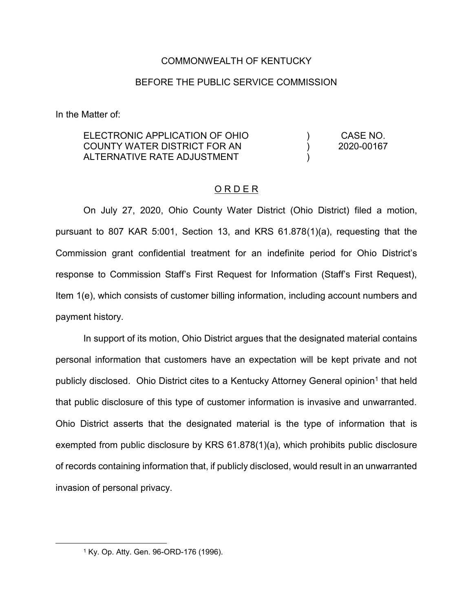## COMMONWEALTH OF KENTUCKY

## BEFORE THE PUBLIC SERVICE COMMISSION

In the Matter of:

ELECTRONIC APPLICATION OF OHIO COUNTY WATER DISTRICT FOR AN ALTERNATIVE RATE ADJUSTMENT  $\lambda$  $\lambda$ ) CASE NO. 2020-00167

## O R D E R

On July 27, 2020, Ohio County Water District (Ohio District) filed a motion, pursuant to 807 KAR 5:001, Section 13, and KRS 61.878(1)(a), requesting that the Commission grant confidential treatment for an indefinite period for Ohio District's response to Commission Staff's First Request for Information (Staff's First Request), Item 1(e), which consists of customer billing information, including account numbers and payment history.

In support of its motion, Ohio District argues that the designated material contains personal information that customers have an expectation will be kept private and not publicly disclosed. Ohio District cites to a Kentucky Attorney General opinion<sup>1</sup> that held that public disclosure of this type of customer information is invasive and unwarranted. Ohio District asserts that the designated material is the type of information that is exempted from public disclosure by KRS 61.878(1)(a), which prohibits public disclosure of records containing information that, if publicly disclosed, would result in an unwarranted invasion of personal privacy.

 <sup>1</sup> Ky. Op. Atty. Gen. 96-ORD-176 (1996).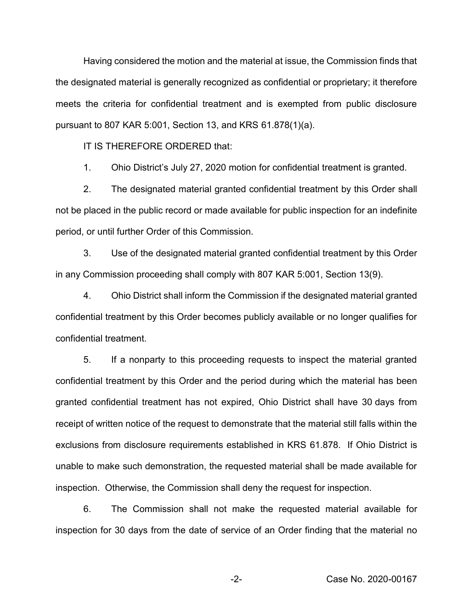Having considered the motion and the material at issue, the Commission finds that the designated material is generally recognized as confidential or proprietary; it therefore meets the criteria for confidential treatment and is exempted from public disclosure pursuant to 807 KAR 5:001, Section 13, and KRS 61.878(1)(a).

IT IS THEREFORE ORDERED that:

1. Ohio District's July 27, 2020 motion for confidential treatment is granted.

2. The designated material granted confidential treatment by this Order shall not be placed in the public record or made available for public inspection for an indefinite period, or until further Order of this Commission.

3. Use of the designated material granted confidential treatment by this Order in any Commission proceeding shall comply with 807 KAR 5:001, Section 13(9).

4. Ohio District shall inform the Commission if the designated material granted confidential treatment by this Order becomes publicly available or no longer qualifies for confidential treatment.

5. If a nonparty to this proceeding requests to inspect the material granted confidential treatment by this Order and the period during which the material has been granted confidential treatment has not expired, Ohio District shall have 30 days from receipt of written notice of the request to demonstrate that the material still falls within the exclusions from disclosure requirements established in KRS 61.878. If Ohio District is unable to make such demonstration, the requested material shall be made available for inspection. Otherwise, the Commission shall deny the request for inspection.

6. The Commission shall not make the requested material available for inspection for 30 days from the date of service of an Order finding that the material no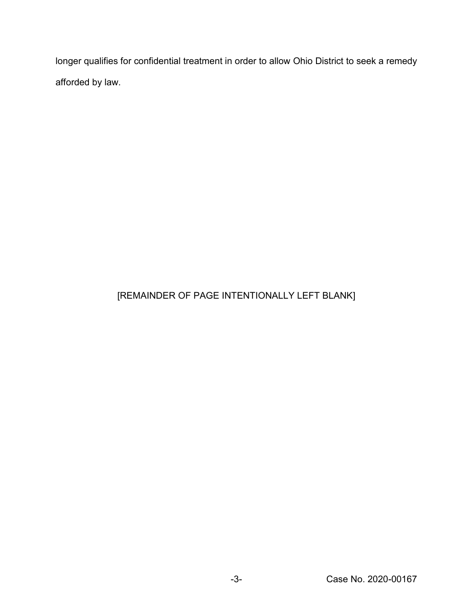longer qualifies for confidential treatment in order to allow Ohio District to seek a remedy afforded by law.

## [REMAINDER OF PAGE INTENTIONALLY LEFT BLANK]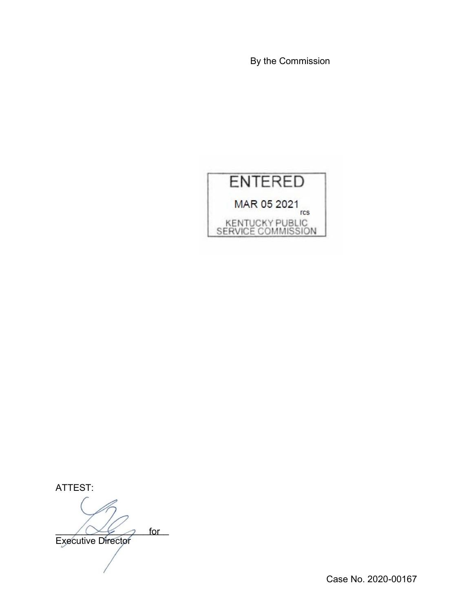By the Commission



ATTEST:

 $\bigcup_{i=1}^n \mathbb{Z}$  for Executive Director

Case No. 2020-00167